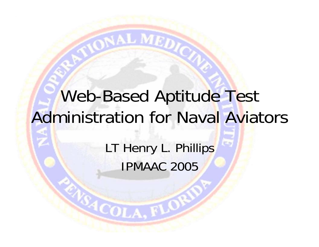## Web-Based Aptitude Test Administration for Naval Aviators

LT Henry L. Phillips IPMAAC 2005

ACOLA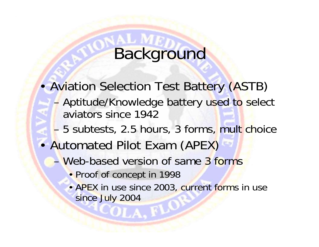# Background

 $\bullet$ Aviation Selection Test Battery (ASTB)

- –Aptitude/Knowledge battery used to select aviators since 1942
- –5 subtests, 2.5 hours, 3 forms, mult choice
- $\bullet$  Automated Pilot Exam (APEX)
	- Web-based version of same 3 forms
		- Proof of concept in 1998
		- APEX in use since 2003, current forms in use since July 2004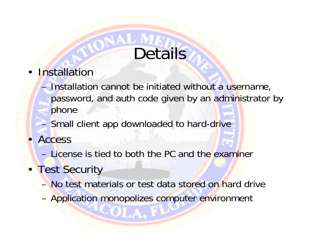## Details

- •**Installation** 
	- Installation cannot be initiated without a username, password, and auth code given by an administrator by phone
	- –Small client app downloaded to hard-drive
- $\bullet$ **Access** 
	- License is tied to both the PC and the examiner
- Test Security
	- No test materials or test data stored on hard drive
	- –Application monopolizes computer environment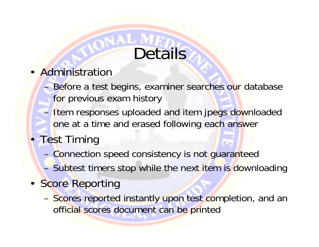## Details

#### $\bullet$ Administration

- –Before a test begins, examiner searches our database for previous exam history
- –Item responses uploaded and item jpegs downloaded one at a time and erased following each answer

#### • Test Timing

- –Connection speed consistency is not guaranteed
- –Subtest timers stop while the next item is downloading
- Score Reporting
	- –Scores reported instantly upon test completion, and an official scores document can be printed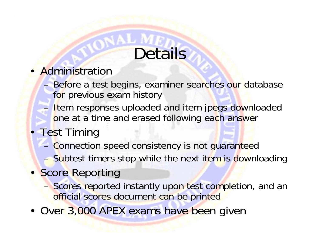## Details

#### $\bullet$ Administration

- –Before a test begins, examiner searches our database for previous exam history
- –Item responses uploaded and item jpegs downloaded one at a time and erased following each answer

#### • Test Timing

- –Connection speed consistency is not guaranteed
- –Subtest timers stop while the next item is downloading
- Score Reporting
	- –Scores reported instantly upon test completion, and an official scores document can be printed
- Over 3,000 APEX exams have been given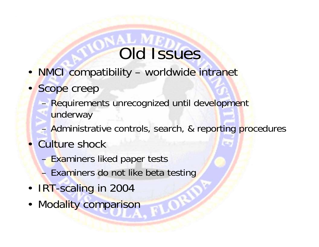# Old Issues

- NMCI compatibility worldwide intranet
- •Scope creep
	- –Requirements unrecognized until development underway
	- –Administrative controls, search, & reporting procedures
- Culture shock
	- –Examiners liked paper tests
	- –Examiners do not like beta testing
- IRT-scaling in 2004
- Modality comparison